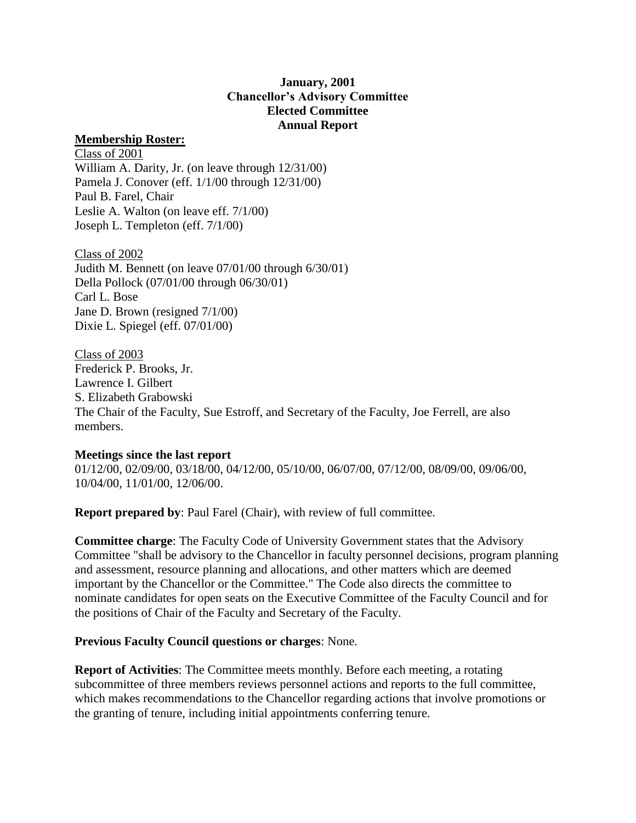## **January, 2001 Chancellor's Advisory Committee Elected Committee Annual Report**

## **Membership Roster:**

Class of 2001 William A. Darity, Jr. (on leave through 12/31/00) Pamela J. Conover (eff. 1/1/00 through 12/31/00) Paul B. Farel, Chair Leslie A. Walton (on leave eff. 7/1/00) Joseph L. Templeton (eff. 7/1/00)

Class of 2002 Judith M. Bennett (on leave 07/01/00 through 6/30/01) Della Pollock (07/01/00 through 06/30/01) Carl L. Bose Jane D. Brown (resigned 7/1/00) Dixie L. Spiegel (eff. 07/01/00)

Class of 2003 Frederick P. Brooks, Jr. Lawrence I. Gilbert S. Elizabeth Grabowski The Chair of the Faculty, Sue Estroff, and Secretary of the Faculty, Joe Ferrell, are also members.

## **Meetings since the last report**

01/12/00, 02/09/00, 03/18/00, 04/12/00, 05/10/00, 06/07/00, 07/12/00, 08/09/00, 09/06/00, 10/04/00, 11/01/00, 12/06/00.

**Report prepared by**: Paul Farel (Chair), with review of full committee.

**Committee charge**: The Faculty Code of University Government states that the Advisory Committee "shall be advisory to the Chancellor in faculty personnel decisions, program planning and assessment, resource planning and allocations, and other matters which are deemed important by the Chancellor or the Committee." The Code also directs the committee to nominate candidates for open seats on the Executive Committee of the Faculty Council and for the positions of Chair of the Faculty and Secretary of the Faculty.

## **Previous Faculty Council questions or charges**: None.

**Report of Activities**: The Committee meets monthly. Before each meeting, a rotating subcommittee of three members reviews personnel actions and reports to the full committee, which makes recommendations to the Chancellor regarding actions that involve promotions or the granting of tenure, including initial appointments conferring tenure.